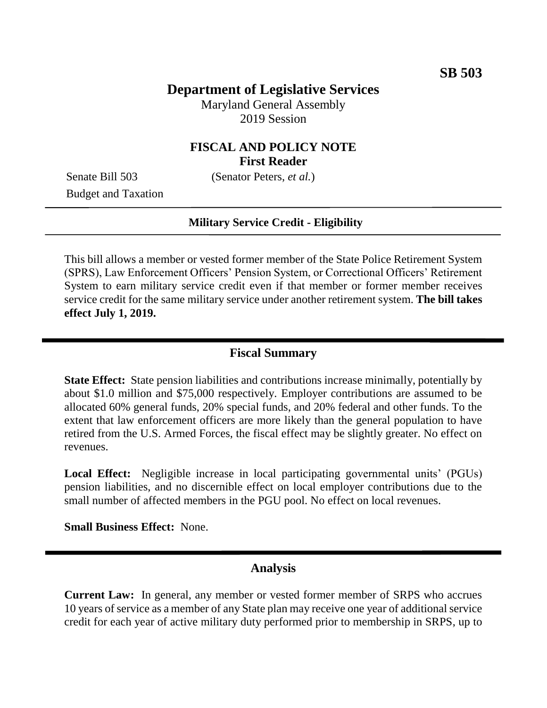# **Department of Legislative Services**

Maryland General Assembly 2019 Session

## **FISCAL AND POLICY NOTE First Reader**

Senate Bill 503 (Senator Peters, *et al.*)

Budget and Taxation

#### **Military Service Credit - Eligibility**

This bill allows a member or vested former member of the State Police Retirement System (SPRS), Law Enforcement Officers' Pension System, or Correctional Officers' Retirement System to earn military service credit even if that member or former member receives service credit for the same military service under another retirement system. **The bill takes effect July 1, 2019.** 

## **Fiscal Summary**

**State Effect:** State pension liabilities and contributions increase minimally, potentially by about \$1.0 million and \$75,000 respectively. Employer contributions are assumed to be allocated 60% general funds, 20% special funds, and 20% federal and other funds. To the extent that law enforcement officers are more likely than the general population to have retired from the U.S. Armed Forces, the fiscal effect may be slightly greater. No effect on revenues.

Local Effect: Negligible increase in local participating governmental units' (PGUs) pension liabilities, and no discernible effect on local employer contributions due to the small number of affected members in the PGU pool. No effect on local revenues.

**Small Business Effect:** None.

### **Analysis**

**Current Law:** In general, any member or vested former member of SRPS who accrues 10 years of service as a member of any State plan may receive one year of additional service credit for each year of active military duty performed prior to membership in SRPS, up to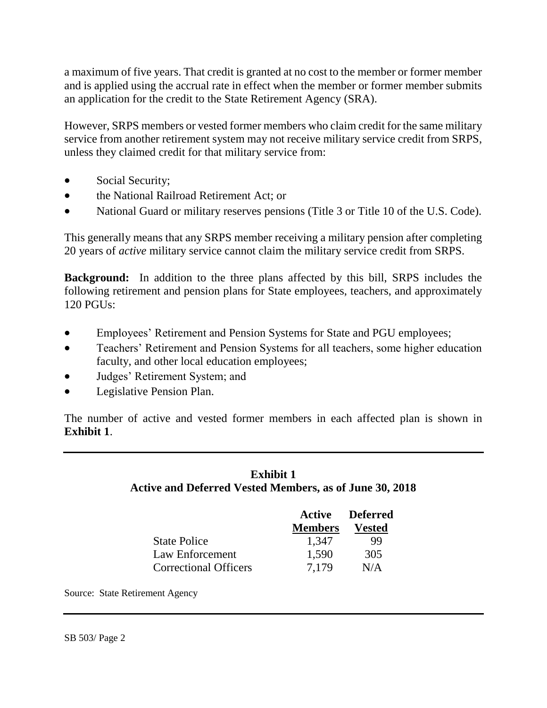a maximum of five years. That credit is granted at no cost to the member or former member and is applied using the accrual rate in effect when the member or former member submits an application for the credit to the State Retirement Agency (SRA).

However, SRPS members or vested former members who claim credit for the same military service from another retirement system may not receive military service credit from SRPS, unless they claimed credit for that military service from:

- Social Security;
- the National Railroad Retirement Act; or
- National Guard or military reserves pensions (Title 3 or Title 10 of the U.S. Code).

This generally means that any SRPS member receiving a military pension after completing 20 years of *active* military service cannot claim the military service credit from SRPS.

**Background:** In addition to the three plans affected by this bill, SRPS includes the following retirement and pension plans for State employees, teachers, and approximately  $120$  PGUs:

- Employees' Retirement and Pension Systems for State and PGU employees;
- Teachers' Retirement and Pension Systems for all teachers, some higher education faculty, and other local education employees;
- Judges' Retirement System; and
- Legislative Pension Plan.

The number of active and vested former members in each affected plan is shown in **Exhibit 1**.

## **Exhibit 1 Active and Deferred Vested Members, as of June 30, 2018**

|                              |                | <b>Active Deferred</b> |
|------------------------------|----------------|------------------------|
|                              | <b>Members</b> | <b>Vested</b>          |
| <b>State Police</b>          | 1,347          | 99                     |
| Law Enforcement              | 1,590          | 305                    |
| <b>Correctional Officers</b> | 7.179          | N/A                    |

Source: State Retirement Agency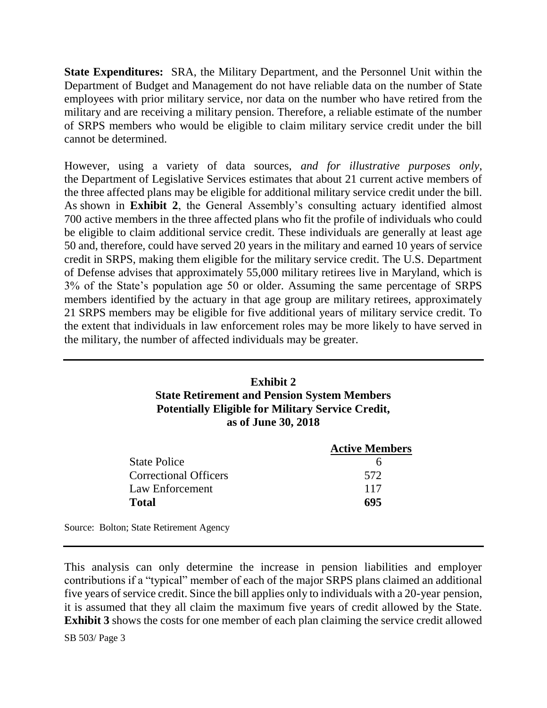**State Expenditures:** SRA, the Military Department, and the Personnel Unit within the Department of Budget and Management do not have reliable data on the number of State employees with prior military service, nor data on the number who have retired from the military and are receiving a military pension. Therefore, a reliable estimate of the number of SRPS members who would be eligible to claim military service credit under the bill cannot be determined.

However, using a variety of data sources, *and for illustrative purposes only*, the Department of Legislative Services estimates that about 21 current active members of the three affected plans may be eligible for additional military service credit under the bill. As shown in **Exhibit 2**, the General Assembly's consulting actuary identified almost 700 active members in the three affected plans who fit the profile of individuals who could be eligible to claim additional service credit. These individuals are generally at least age 50 and, therefore, could have served 20 years in the military and earned 10 years of service credit in SRPS, making them eligible for the military service credit. The U.S. Department of Defense advises that approximately 55,000 military retirees live in Maryland, which is 3% of the State's population age 50 or older. Assuming the same percentage of SRPS members identified by the actuary in that age group are military retirees, approximately 21 SRPS members may be eligible for five additional years of military service credit. To the extent that individuals in law enforcement roles may be more likely to have served in the military, the number of affected individuals may be greater.

## **Exhibit 2 State Retirement and Pension System Members Potentially Eligible for Military Service Credit, as of June 30, 2018**

|                              | <b>Active Members</b> |
|------------------------------|-----------------------|
| <b>State Police</b>          |                       |
| <b>Correctional Officers</b> | 572                   |
| Law Enforcement              | 117                   |
| <b>Total</b>                 | 695                   |
|                              |                       |

Source: Bolton; State Retirement Agency

This analysis can only determine the increase in pension liabilities and employer contributions if a "typical" member of each of the major SRPS plans claimed an additional five years of service credit. Since the bill applies only to individuals with a 20-year pension, it is assumed that they all claim the maximum five years of credit allowed by the State. **Exhibit 3** shows the costs for one member of each plan claiming the service credit allowed

SB 503/ Page 3